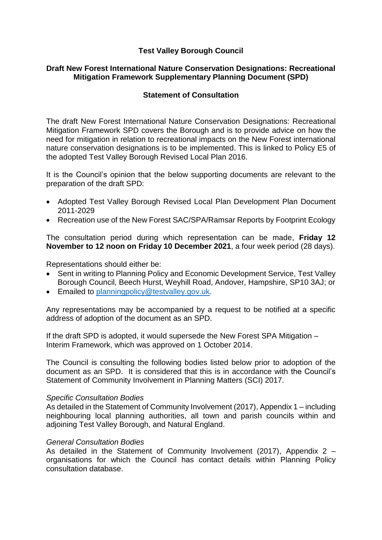# **Test Valley Borough Council**

## **Draft New Forest International Nature Conservation Designations: Recreational Mitigation Framework Supplementary Planning Document (SPD)**

# **Statement of Consultation**

The draft New Forest International Nature Conservation Designations: Recreational Mitigation Framework SPD covers the Borough and is to provide advice on how the need for mitigation in relation to recreational impacts on the New Forest international nature conservation designations is to be implemented. This is linked to Policy E5 of the adopted Test Valley Borough Revised Local Plan 2016.

It is the Council's opinion that the below supporting documents are relevant to the preparation of the draft SPD:

- Adopted Test Valley Borough Revised Local Plan Development Plan Document 2011-2029
- Recreation use of the New Forest SAC/SPA/Ramsar Reports by Footprint Ecology

The consultation period during which representation can be made, **Friday 12 November to 12 noon on Friday 10 December 2021**, a four week period (28 days).

Representations should either be:

- Sent in writing to Planning Policy and Economic Development Service, Test Valley Borough Council, Beech Hurst, Weyhill Road, Andover, Hampshire, SP10 3AJ; or
- **Emailed to [planningpolicy@testvalley.gov.uk.](mailto:planningpolicy@testvalley.gov.uk)**

Any representations may be accompanied by a request to be notified at a specific address of adoption of the document as an SPD.

If the draft SPD is adopted, it would supersede the New Forest SPA Mitigation – Interim Framework, which was approved on 1 October 2014.

The Council is consulting the following bodies listed below prior to adoption of the document as an SPD. It is considered that this is in accordance with the Council's Statement of Community Involvement in Planning Matters (SCI) 2017.

#### *Specific Consultation Bodies*

As detailed in the Statement of Community Involvement (2017), Appendix 1 – including neighbouring local planning authorities, all town and parish councils within and adioining Test Valley Borough, and Natural England.

#### *General Consultation Bodies*

As detailed in the Statement of Community Involvement (2017), Appendix 2 – organisations for which the Council has contact details within Planning Policy consultation database.